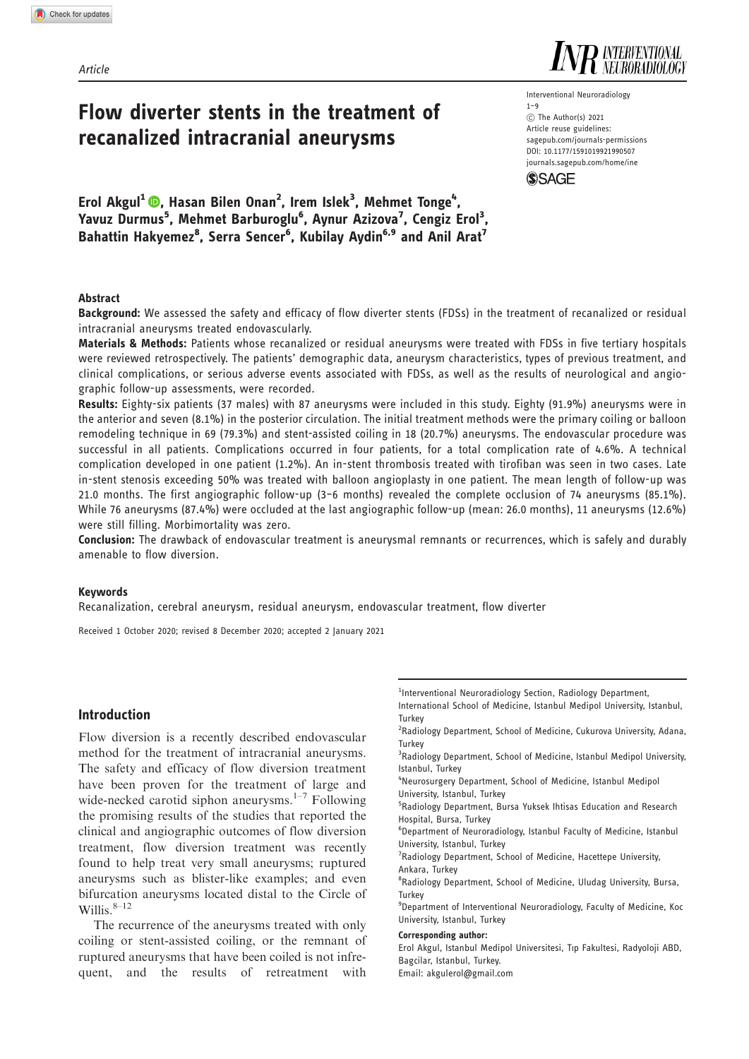Article

# Flow diverter stents in the treatment of recanalized intracranial aneurysms

Erol Akgul<sup>1</sup> ©, Hasan Bilen Onan<sup>2</sup>, Irem Islek<sup>3</sup>, Mehmet Tonge<sup>4</sup>, Yavuz Durmus<sup>5</sup>, Mehmet Barburoglu<sup>6</sup>, Aynur Azizova<sup>7</sup>, Cengiz Erol<sup>3</sup>, Bahattin Hakyemez<sup>8</sup>, Serra Sencer<sup>6</sup>, Kubilay Aydin<sup>6,9</sup> and Anil Arat<sup>7</sup>

#### Abstract

Background: We assessed the safety and efficacy of flow diverter stents (FDSs) in the treatment of recanalized or residual intracranial aneurysms treated endovascularly.

Materials & Methods: Patients whose recanalized or residual aneurysms were treated with FDSs in five tertiary hospitals were reviewed retrospectively. The patients' demographic data, aneurysm characteristics, types of previous treatment, and clinical complications, or serious adverse events associated with FDSs, as well as the results of neurological and angiographic follow-up assessments, were recorded.

Results: Eighty-six patients (37 males) with 87 aneurysms were included in this study. Eighty (91.9%) aneurysms were in the anterior and seven (8.1%) in the posterior circulation. The initial treatment methods were the primary coiling or balloon remodeling technique in 69 (79.3%) and stent-assisted coiling in 18 (20.7%) aneurysms. The endovascular procedure was successful in all patients. Complications occurred in four patients, for a total complication rate of 4.6%. A technical complication developed in one patient (1.2%). An in-stent thrombosis treated with tirofiban was seen in two cases. Late in-stent stenosis exceeding 50% was treated with balloon angioplasty in one patient. The mean length of follow-up was 21.0 months. The first angiographic follow-up (3–6 months) revealed the complete occlusion of 74 aneurysms (85.1%). While 76 aneurysms (87.4%) were occluded at the last angiographic follow-up (mean: 26.0 months), 11 aneurysms (12.6%) were still filling. Morbimortality was zero.

Conclusion: The drawback of endovascular treatment is aneurysmal remnants or recurrences, which is safely and durably amenable to flow diversion.

#### Keywords

Recanalization, cerebral aneurysm, residual aneurysm, endovascular treatment, flow diverter

Received 1 October 2020; revised 8 December 2020; accepted 2 January 2021

# Introduction

Flow diversion is a recently described endovascular method for the treatment of intracranial aneurysms. The safety and efficacy of flow diversion treatment have been proven for the treatment of large and wide-necked carotid siphon aneurysms. $1-7$  Following the promising results of the studies that reported the clinical and angiographic outcomes of flow diversion treatment, flow diversion treatment was recently found to help treat very small aneurysms; ruptured aneurysms such as blister-like examples; and even bifurcation aneurysms located distal to the Circle of Willis. $8-12$ 

The recurrence of the aneurysms treated with only coiling or stent-assisted coiling, or the remnant of ruptured aneurysms that have been coiled is not infrequent, and the results of retreatment with

<sup>1</sup>Interventional Neuroradiology Section, Radiology Department,

International School of Medicine, Istanbul Medipol University, Istanbul, **Turkey** 

- <sup>2</sup>Radiology Department, School of Medicine, Cukurova University, Adana, **Turkey**
- <sup>3</sup> Radiology Department, School of Medicine, Istanbul Medipol University, Istanbul, Turkey
- 4 Neurosurgery Department, School of Medicine, Istanbul Medipol University, Istanbul, Turkey
- 5 Radiology Department, Bursa Yuksek Ihtisas Education and Research Hospital, Bursa, Turkey
- 6 Department of Neuroradiology, Istanbul Faculty of Medicine, Istanbul University, Istanbul, Turkey
- <sup>7</sup> Radiology Department, School of Medicine, Hacettepe University, Ankara, Turkey
- <sup>8</sup>Radiology Department, School of Medicine, Uludag University, Bursa, Turkey
- <sup>9</sup>Department of Interventional Neuroradiology, Faculty of Medicine, Koc University, Istanbul, Turkey

#### Corresponding author:

Erol Akgul, Istanbul Medipol Universitesi, Tıp Fakultesi, Radyoloji ABD, Bagcilar, Istanbul, Turkey.

Email: [akgulerol@gmail.com](mailto:akgulerol@gmail.com)

Interventional Neuroradiology  $1 - 9$  $(C)$  The Author(s) 2021 Article reuse guidelines: [sagepub.com/journals-permissions](http://uk.sagepub.com/en-gb/journals-permissions) [DOI: 10.1177/1591019921990507](http://dx.doi.org/10.1177/1591019921990507) <journals.sagepub.com/home/ine>

**SSAGE** 

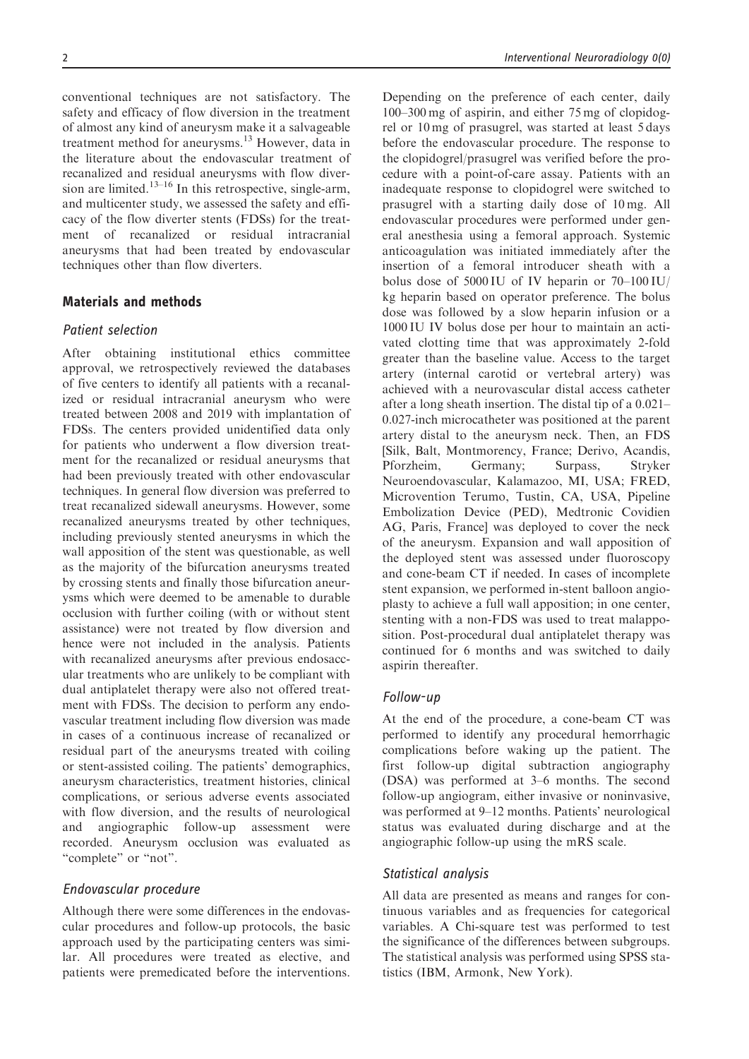conventional techniques are not satisfactory. The safety and efficacy of flow diversion in the treatment of almost any kind of aneurysm make it a salvageable treatment method for aneurysms.<sup>13</sup> However, data in the literature about the endovascular treatment of recanalized and residual aneurysms with flow diversion are limited.<sup>13–16</sup> In this retrospective, single-arm, and multicenter study, we assessed the safety and efficacy of the flow diverter stents (FDSs) for the treatment of recanalized or residual intracranial aneurysms that had been treated by endovascular techniques other than flow diverters.

# Materials and methods

# Patient selection

After obtaining institutional ethics committee approval, we retrospectively reviewed the databases of five centers to identify all patients with a recanalized or residual intracranial aneurysm who were treated between 2008 and 2019 with implantation of FDSs. The centers provided unidentified data only for patients who underwent a flow diversion treatment for the recanalized or residual aneurysms that had been previously treated with other endovascular techniques. In general flow diversion was preferred to treat recanalized sidewall aneurysms. However, some recanalized aneurysms treated by other techniques, including previously stented aneurysms in which the wall apposition of the stent was questionable, as well as the majority of the bifurcation aneurysms treated by crossing stents and finally those bifurcation aneurysms which were deemed to be amenable to durable occlusion with further coiling (with or without stent assistance) were not treated by flow diversion and hence were not included in the analysis. Patients with recanalized aneurysms after previous endosaccular treatments who are unlikely to be compliant with dual antiplatelet therapy were also not offered treatment with FDSs. The decision to perform any endovascular treatment including flow diversion was made in cases of a continuous increase of recanalized or residual part of the aneurysms treated with coiling or stent-assisted coiling. The patients' demographics, aneurysm characteristics, treatment histories, clinical complications, or serious adverse events associated with flow diversion, and the results of neurological and angiographic follow-up assessment were recorded. Aneurysm occlusion was evaluated as "complete" or "not".

#### Endovascular procedure

Although there were some differences in the endovascular procedures and follow-up protocols, the basic approach used by the participating centers was similar. All procedures were treated as elective, and patients were premedicated before the interventions. Depending on the preference of each center, daily 100–300 mg of aspirin, and either 75 mg of clopidogrel or 10 mg of prasugrel, was started at least 5 days before the endovascular procedure. The response to the clopidogrel/prasugrel was verified before the procedure with a point-of-care assay. Patients with an inadequate response to clopidogrel were switched to prasugrel with a starting daily dose of 10 mg. All endovascular procedures were performed under general anesthesia using a femoral approach. Systemic anticoagulation was initiated immediately after the insertion of a femoral introducer sheath with a bolus dose of 5000 IU of IV heparin or 70–100 IU/ kg heparin based on operator preference. The bolus dose was followed by a slow heparin infusion or a 1000 IU IV bolus dose per hour to maintain an activated clotting time that was approximately 2-fold greater than the baseline value. Access to the target artery (internal carotid or vertebral artery) was achieved with a neurovascular distal access catheter after a long sheath insertion. The distal tip of a 0.021– 0.027-inch microcatheter was positioned at the parent artery distal to the aneurysm neck. Then, an FDS [Silk, Balt, Montmorency, France; Derivo, Acandis, Pforzheim, Germany; Surpass, Stryker Neuroendovascular, Kalamazoo, MI, USA; FRED, Microvention Terumo, Tustin, CA, USA, Pipeline Embolization Device (PED), Medtronic Covidien AG, Paris, France] was deployed to cover the neck of the aneurysm. Expansion and wall apposition of the deployed stent was assessed under fluoroscopy and cone-beam CT if needed. In cases of incomplete stent expansion, we performed in-stent balloon angioplasty to achieve a full wall apposition; in one center, stenting with a non-FDS was used to treat malapposition. Post-procedural dual antiplatelet therapy was continued for 6 months and was switched to daily aspirin thereafter.

# Follow-up

At the end of the procedure, a cone-beam CT was performed to identify any procedural hemorrhagic complications before waking up the patient. The first follow-up digital subtraction angiography (DSA) was performed at 3–6 months. The second follow-up angiogram, either invasive or noninvasive, was performed at 9–12 months. Patients' neurological status was evaluated during discharge and at the angiographic follow-up using the mRS scale.

#### Statistical analysis

All data are presented as means and ranges for continuous variables and as frequencies for categorical variables. A Chi-square test was performed to test the significance of the differences between subgroups. The statistical analysis was performed using SPSS statistics (IBM, Armonk, New York).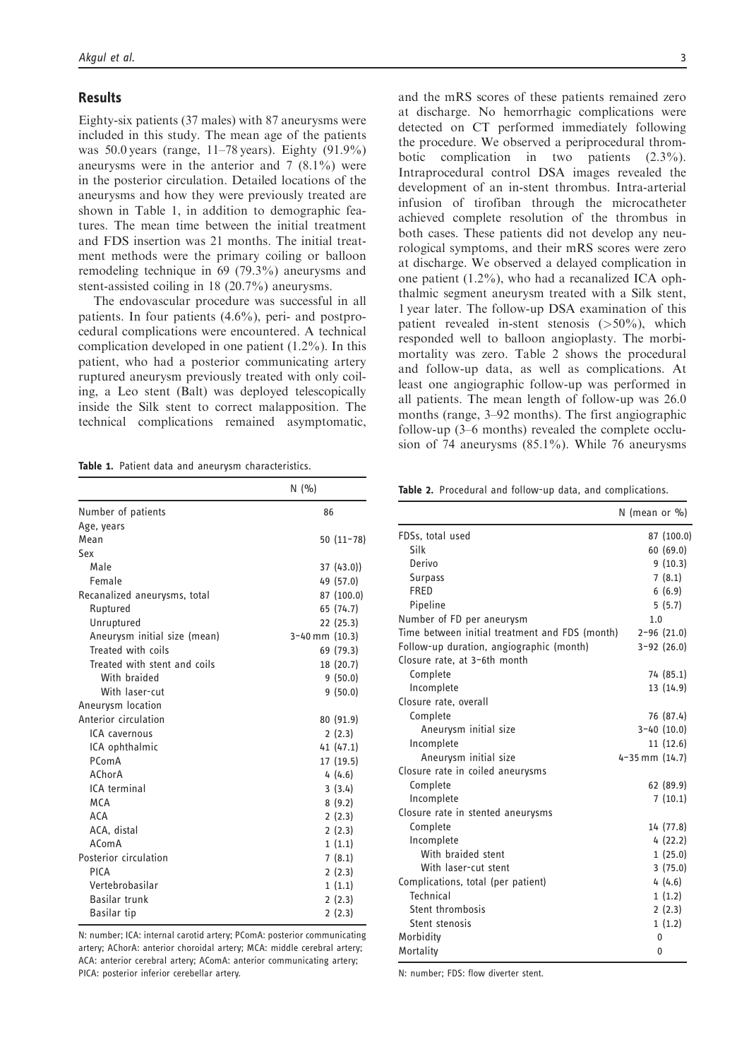#### Results

Eighty-six patients (37 males) with 87 aneurysms were included in this study. The mean age of the patients was 50.0 years (range, 11–78 years). Eighty (91.9%) aneurysms were in the anterior and 7 (8.1%) were in the posterior circulation. Detailed locations of the aneurysms and how they were previously treated are shown in Table 1, in addition to demographic features. The mean time between the initial treatment and FDS insertion was 21 months. The initial treatment methods were the primary coiling or balloon remodeling technique in 69 (79.3%) aneurysms and stent-assisted coiling in 18 (20.7%) aneurysms.

The endovascular procedure was successful in all patients. In four patients (4.6%), peri- and postprocedural complications were encountered. A technical complication developed in one patient (1.2%). In this patient, who had a posterior communicating artery ruptured aneurysm previously treated with only coiling, a Leo stent (Balt) was deployed telescopically inside the Silk stent to correct malapposition. The technical complications remained asymptomatic,

Table 1. Patient data and aneurysm characteristics.

|                              | N(9/6)             |
|------------------------------|--------------------|
| Number of patients           | 86                 |
| Age, years                   |                    |
| Mean                         | $50(11-78)$        |
| Sex                          |                    |
| Male                         | 37(43.0)           |
| Female                       | 49 (57.0)          |
| Recanalized aneurysms, total | 87 (100.0)         |
| Ruptured                     | 65 (74.7)          |
| Unruptured                   | 22 (25.3)          |
| Aneurysm initial size (mean) | $3-40$ mm $(10.3)$ |
| Treated with coils           | 69 (79.3)          |
| Treated with stent and coils | 18 (20.7)          |
| With braided                 | 9(50.0)            |
| With laser-cut               | 9(50.0)            |
| Aneurysm location            |                    |
| Anterior circulation         | 80 (91.9)          |
| ICA cavernous                | 2(2.3)             |
| ICA ophthalmic               | 41 (47.1)          |
| PComA                        | 17 (19.5)          |
| AChorA                       | 4(4.6)             |
| ICA terminal                 | 3(3.4)             |
| <b>MCA</b>                   | 8(9.2)             |
| <b>ACA</b>                   | 2(2.3)             |
| ACA, distal                  | 2(2.3)             |
| AComA                        | 1(1.1)             |
| Posterior circulation        | 7(8.1)             |
| PICA                         | 2(2.3)             |
| Vertebrobasilar              | 1(1.1)             |
| Basilar trunk                | 2(2.3)             |
| Basilar tip                  | 2(2.3)             |

N: number; ICA: internal carotid artery; PComA: posterior communicating artery; AChorA: anterior choroidal artery; MCA: middle cerebral artery; ACA: anterior cerebral artery; AComA: anterior communicating artery; PICA: posterior inferior cerebellar artery.

and the mRS scores of these patients remained zero at discharge. No hemorrhagic complications were detected on CT performed immediately following the procedure. We observed a periprocedural thrombotic complication in two patients (2.3%). Intraprocedural control DSA images revealed the development of an in-stent thrombus. Intra-arterial infusion of tirofiban through the microcatheter achieved complete resolution of the thrombus in both cases. These patients did not develop any neurological symptoms, and their mRS scores were zero at discharge. We observed a delayed complication in one patient (1.2%), who had a recanalized ICA ophthalmic segment aneurysm treated with a Silk stent, 1 year later. The follow-up DSA examination of this patient revealed in-stent stenosis  $(>50\%)$ , which responded well to balloon angioplasty. The morbimortality was zero. Table 2 shows the procedural and follow-up data, as well as complications. At least one angiographic follow-up was performed in all patients. The mean length of follow-up was 26.0 months (range, 3–92 months). The first angiographic follow-up (3–6 months) revealed the complete occlusion of 74 aneurysms (85.1%). While 76 aneurysms

Table 2. Procedural and follow-up data, and complications.

|                                                | N (mean or $\%$ )    |                 |
|------------------------------------------------|----------------------|-----------------|
| FDSs, total used                               |                      | 87 (100.0)      |
| Silk                                           |                      | 60(69.0)        |
| Derivo                                         |                      | 9(10.3)         |
| <b>Surpass</b>                                 |                      | 7(8.1)          |
| <b>FRFD</b>                                    |                      | 6(6.9)          |
| Pipeline                                       |                      | 5(5.7)          |
| Number of FD per aneurysm                      | 1.0                  |                 |
| Time between initial treatment and FDS (month) |                      | $2 - 96$ (21.0) |
| Follow-up duration, angiographic (month)       |                      | $3-92(26.0)$    |
| Closure rate, at 3-6th month                   |                      |                 |
| Complete                                       |                      | 74 (85.1)       |
| Incomplete                                     |                      | 13 (14.9)       |
| Closure rate, overall                          |                      |                 |
| Complete                                       |                      | 76 (87.4)       |
| Aneurysm initial size                          |                      | $3-40(10.0)$    |
| Incomplete                                     |                      | 11(12.6)        |
| Aneurysm initial size                          | $4 - 35$ mm $(14.7)$ |                 |
| Closure rate in coiled aneurysms               |                      |                 |
| Complete                                       |                      | 62(89.9)        |
| Incomplete                                     |                      | 7(10.1)         |
| Closure rate in stented aneurysms              |                      |                 |
| Complete                                       |                      | 14 (77.8)       |
| Incomplete                                     |                      | 4(22.2)         |
| With braided stent                             |                      | 1(25.0)         |
| With laser-cut stent                           |                      | 3(75.0)         |
| Complications, total (per patient)             |                      | 4(4.6)          |
| Technical                                      |                      | 1(1.2)          |
| Stent thrombosis                               |                      | 2(2.3)          |
| Stent stenosis                                 |                      | 1(1.2)          |
| Morbidity                                      | 0                    |                 |
| Mortality                                      | 0                    |                 |

N: number; FDS: flow diverter stent.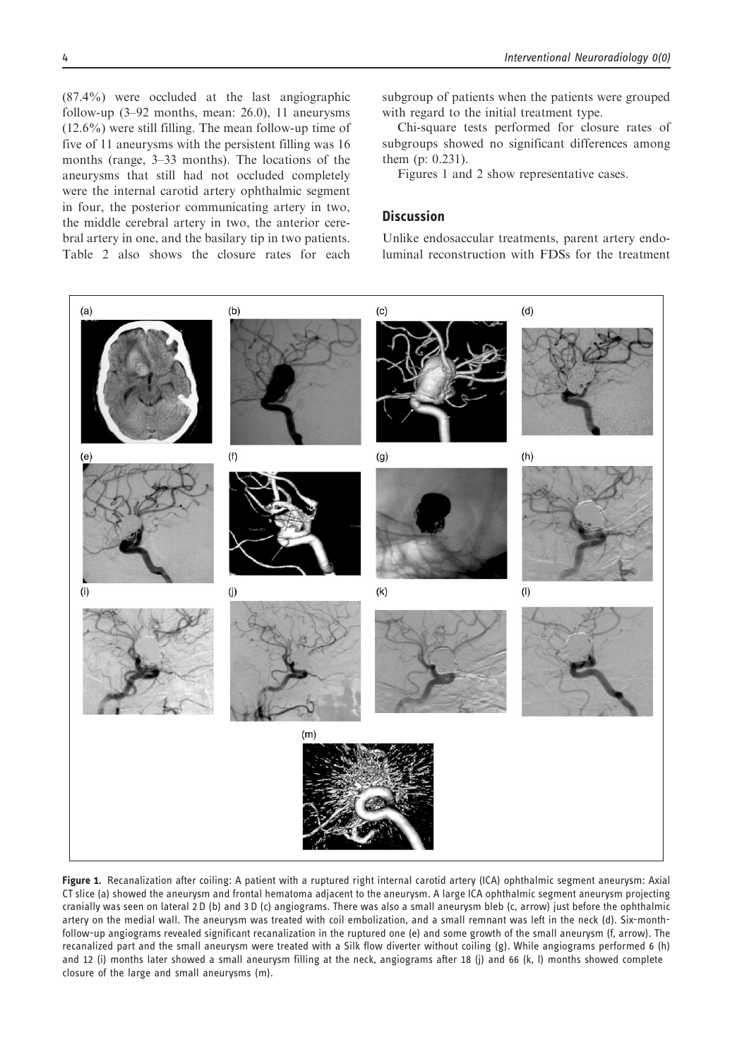(87.4%) were occluded at the last angiographic follow-up (3–92 months, mean: 26.0), 11 aneurysms (12.6%) were still filling. The mean follow-up time of five of 11 aneurysms with the persistent filling was 16 months (range, 3–33 months). The locations of the aneurysms that still had not occluded completely were the internal carotid artery ophthalmic segment in four, the posterior communicating artery in two, the middle cerebral artery in two, the anterior cerebral artery in one, and the basilary tip in two patients. Table 2 also shows the closure rates for each subgroup of patients when the patients were grouped with regard to the initial treatment type.

Chi-square tests performed for closure rates of subgroups showed no significant differences among them (p: 0.231).

Figures 1 and 2 show representative cases.

# **Discussion**

Unlike endosaccular treatments, parent artery endoluminal reconstruction with FDSs for the treatment



Figure 1. Recanalization after coiling: A patient with a ruptured right internal carotid artery (ICA) ophthalmic segment aneurysm: Axial CT slice (a) showed the aneurysm and frontal hematoma adjacent to the aneurysm. A large ICA ophthalmic segment aneurysm projecting cranially was seen on lateral 2 D (b) and 3 D (c) angiograms. There was also a small aneurysm bleb (c, arrow) just before the ophthalmic artery on the medial wall. The aneurysm was treated with coil embolization, and a small remnant was left in the neck (d). Six-monthfollow-up angiograms revealed significant recanalization in the ruptured one (e) and some growth of the small aneurysm (f, arrow). The recanalized part and the small aneurysm were treated with a Silk flow diverter without coiling (g). While angiograms performed 6 (h) and 12 (i) months later showed a small aneurysm filling at the neck, angiograms after 18 (j) and 66 (k, l) months showed complete closure of the large and small aneurysms (m).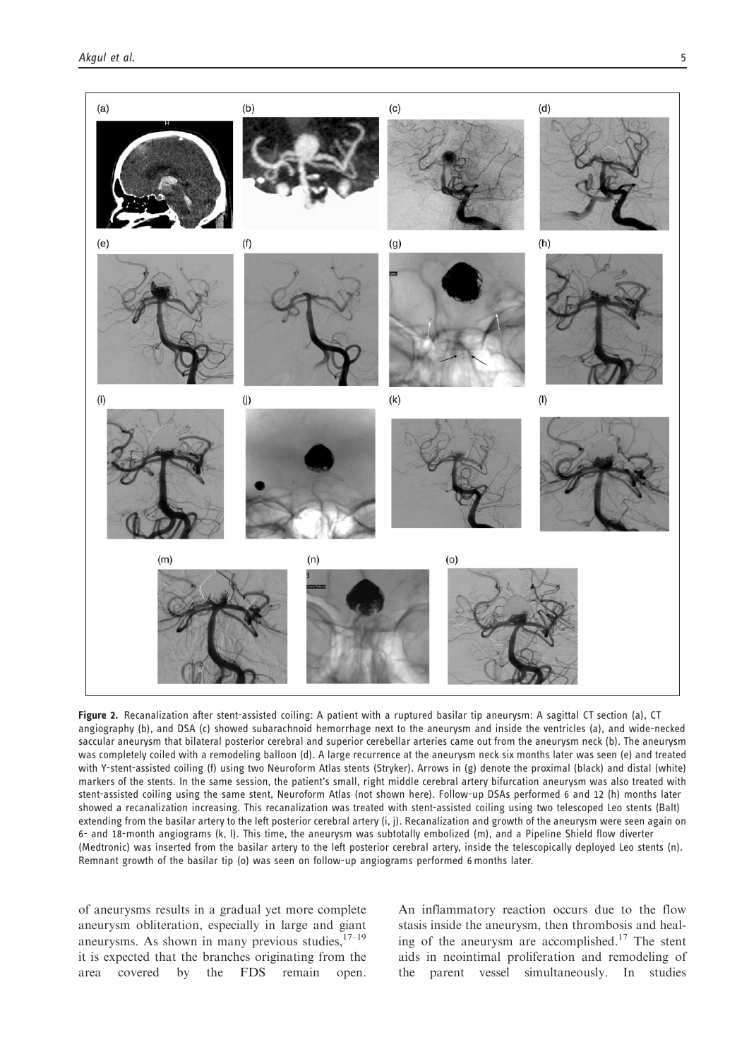

Figure 2. Recanalization after stent-assisted coiling: A patient with a ruptured basilar tip aneurysm: A sagittal CT section (a), CT angiography (b), and DSA (c) showed subarachnoid hemorrhage next to the aneurysm and inside the ventricles (a), and wide-necked saccular aneurysm that bilateral posterior cerebral and superior cerebellar arteries came out from the aneurysm neck (b). The aneurysm was completely coiled with a remodeling balloon (d). A large recurrence at the aneurysm neck six months later was seen (e) and treated with Y-stent-assisted coiling (f) using two Neuroform Atlas stents (Stryker). Arrows in (g) denote the proximal (black) and distal (white) markers of the stents. In the same session, the patient's small, right middle cerebral artery bifurcation aneurysm was also treated with stent-assisted coiling using the same stent, Neuroform Atlas (not shown here). Follow-up DSAs performed 6 and 12 (h) months later showed a recanalization increasing. This recanalization was treated with stent-assisted coiling using two telescoped Leo stents (Balt) extending from the basilar artery to the left posterior cerebral artery (i, j). Recanalization and growth of the aneurysm were seen again on 6- and 18-month angiograms (k, l). This time, the aneurysm was subtotally embolized (m), and a Pipeline Shield flow diverter (Medtronic) was inserted from the basilar artery to the left posterior cerebral artery, inside the telescopically deployed Leo stents (n). Remnant growth of the basilar tip (o) was seen on follow-up angiograms performed 6 months later.

of aneurysms results in a gradual yet more complete aneurysm obliteration, especially in large and giant aneurysms. As shown in many previous studies,  $17-19$ it is expected that the branches originating from the area covered by the FDS remain open.

An inflammatory reaction occurs due to the flow stasis inside the aneurysm, then thrombosis and healing of the aneurysm are accomplished.<sup>17</sup> The stent aids in neointimal proliferation and remodeling of the parent vessel simultaneously. In studies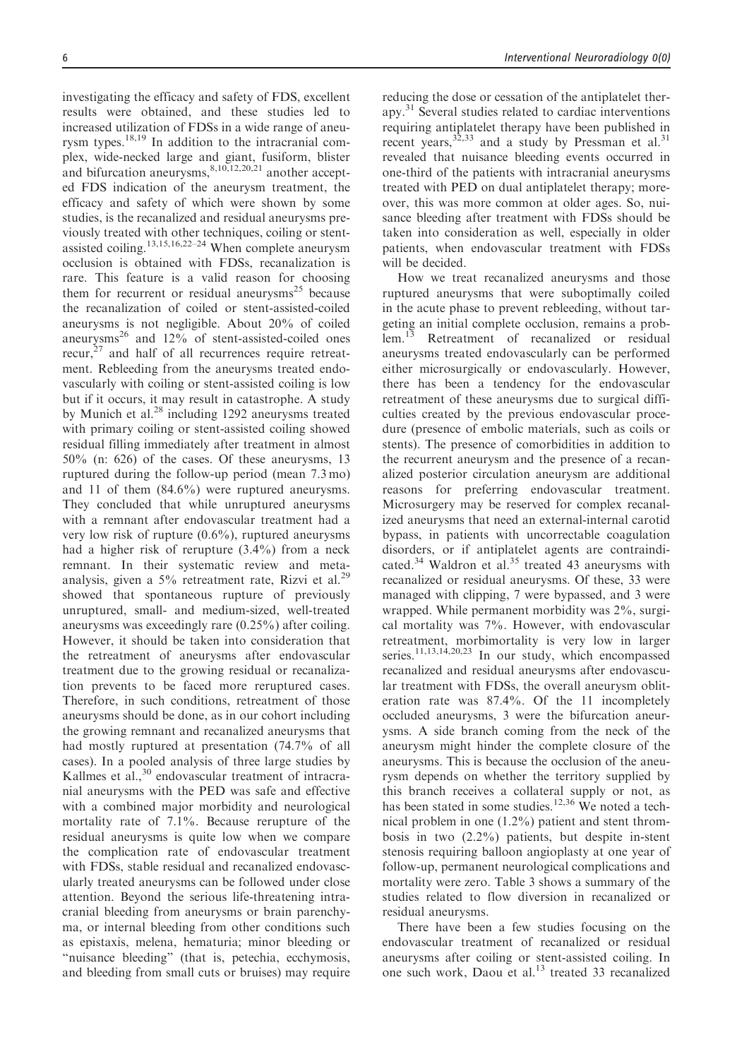investigating the efficacy and safety of FDS, excellent results were obtained, and these studies led to increased utilization of FDSs in a wide range of aneurysm types.<sup>18,19</sup> In addition to the intracranial complex, wide-necked large and giant, fusiform, blister and bifurcation aneurysms,  $8,10,12,20,21$  another accepted FDS indication of the aneurysm treatment, the efficacy and safety of which were shown by some studies, is the recanalized and residual aneurysms previously treated with other techniques, coiling or stentassisted coiling.13,15,16,22–24 When complete aneurysm occlusion is obtained with FDSs, recanalization is rare. This feature is a valid reason for choosing them for recurrent or residual aneurysms<sup>25</sup> because the recanalization of coiled or stent-assisted-coiled aneurysms is not negligible. About 20% of coiled aneurysms<sup>26</sup> and  $12\%$  of stent-assisted-coiled ones recur, $27$  and half of all recurrences require retreatment. Rebleeding from the aneurysms treated endovascularly with coiling or stent-assisted coiling is low but if it occurs, it may result in catastrophe. A study by Munich et al.<sup>28</sup> including 1292 aneurysms treated with primary coiling or stent-assisted coiling showed residual filling immediately after treatment in almost 50% (n: 626) of the cases. Of these aneurysms, 13 ruptured during the follow-up period (mean 7.3 mo) and 11 of them (84.6%) were ruptured aneurysms. They concluded that while unruptured aneurysms with a remnant after endovascular treatment had a very low risk of rupture  $(0.6\%)$ , ruptured aneurysms had a higher risk of rerupture (3.4%) from a neck remnant. In their systematic review and metaanalysis, given a 5% retreatment rate, Rizvi et al.<sup>29</sup> showed that spontaneous rupture of previously unruptured, small- and medium-sized, well-treated aneurysms was exceedingly rare (0.25%) after coiling. However, it should be taken into consideration that the retreatment of aneurysms after endovascular treatment due to the growing residual or recanalization prevents to be faced more reruptured cases. Therefore, in such conditions, retreatment of those aneurysms should be done, as in our cohort including the growing remnant and recanalized aneurysms that had mostly ruptured at presentation (74.7% of all cases). In a pooled analysis of three large studies by Kallmes et al.,<sup>30</sup> endovascular treatment of intracranial aneurysms with the PED was safe and effective with a combined major morbidity and neurological mortality rate of 7.1%. Because rerupture of the residual aneurysms is quite low when we compare the complication rate of endovascular treatment with FDSs, stable residual and recanalized endovascularly treated aneurysms can be followed under close attention. Beyond the serious life-threatening intracranial bleeding from aneurysms or brain parenchyma, or internal bleeding from other conditions such as epistaxis, melena, hematuria; minor bleeding or "nuisance bleeding" (that is, petechia, ecchymosis, and bleeding from small cuts or bruises) may require reducing the dose or cessation of the antiplatelet therapy.31 Several studies related to cardiac interventions requiring antiplatelet therapy have been published in recent years,  $32,33$  and a study by Pressman et al.<sup>31</sup> revealed that nuisance bleeding events occurred in one-third of the patients with intracranial aneurysms treated with PED on dual antiplatelet therapy; moreover, this was more common at older ages. So, nuisance bleeding after treatment with FDSs should be taken into consideration as well, especially in older patients, when endovascular treatment with FDSs will be decided.

How we treat recanalized aneurysms and those ruptured aneurysms that were suboptimally coiled in the acute phase to prevent rebleeding, without targeting an initial complete occlusion, remains a prob-<br>lem.<sup>13</sup> Retreatment of recanalized or residual Retreatment of recanalized or residual aneurysms treated endovascularly can be performed either microsurgically or endovascularly. However, there has been a tendency for the endovascular retreatment of these aneurysms due to surgical difficulties created by the previous endovascular procedure (presence of embolic materials, such as coils or stents). The presence of comorbidities in addition to the recurrent aneurysm and the presence of a recanalized posterior circulation aneurysm are additional reasons for preferring endovascular treatment. Microsurgery may be reserved for complex recanalized aneurysms that need an external-internal carotid bypass, in patients with uncorrectable coagulation disorders, or if antiplatelet agents are contraindicated.<sup>34</sup> Waldron et al.<sup>35</sup> treated 43 aneurysms with recanalized or residual aneurysms. Of these, 33 were managed with clipping, 7 were bypassed, and 3 were wrapped. While permanent morbidity was 2%, surgical mortality was 7%. However, with endovascular retreatment, morbimortality is very low in larger series.<sup>11,13,14,20,23</sup> In our study, which encompassed recanalized and residual aneurysms after endovascular treatment with FDSs, the overall aneurysm obliteration rate was 87.4%. Of the 11 incompletely occluded aneurysms, 3 were the bifurcation aneurysms. A side branch coming from the neck of the aneurysm might hinder the complete closure of the aneurysms. This is because the occlusion of the aneurysm depends on whether the territory supplied by this branch receives a collateral supply or not, as has been stated in some studies.<sup>12,36</sup> We noted a technical problem in one (1.2%) patient and stent thrombosis in two (2.2%) patients, but despite in-stent stenosis requiring balloon angioplasty at one year of follow-up, permanent neurological complications and mortality were zero. Table 3 shows a summary of the studies related to flow diversion in recanalized or residual aneurysms.

There have been a few studies focusing on the endovascular treatment of recanalized or residual aneurysms after coiling or stent-assisted coiling. In one such work, Daou et al.<sup>13</sup> treated 33 recanalized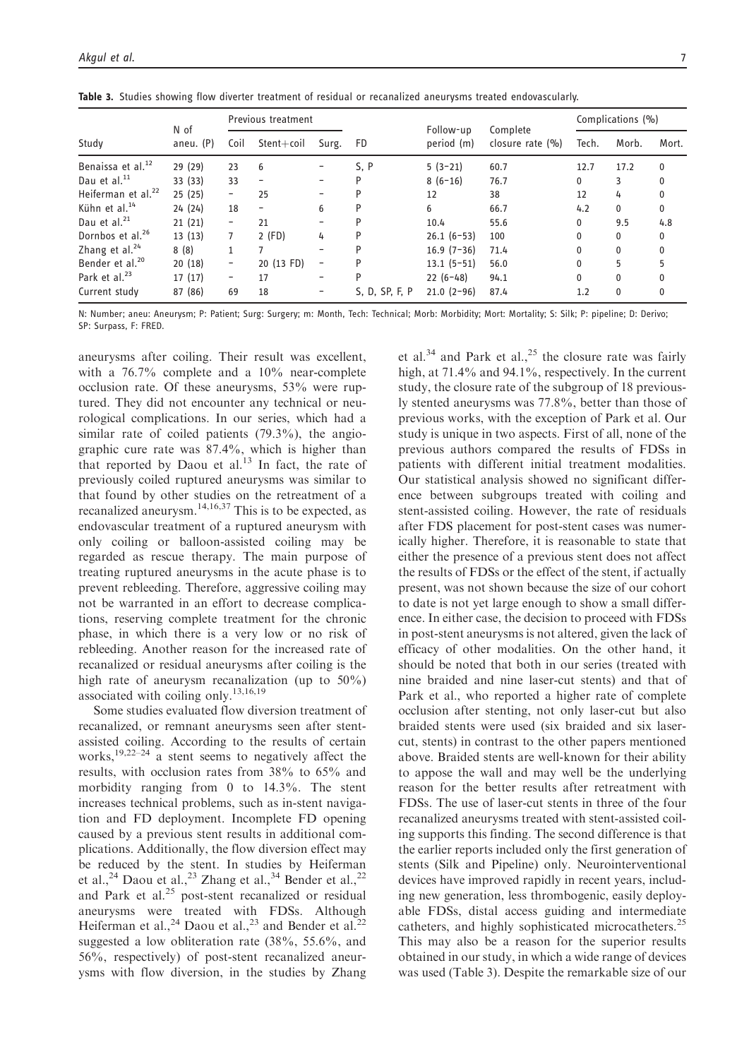| Study                          | N of<br>aneu. (P) | <b>Previous treatment</b> |                              |                          |                |                         | Complications (%)             |          |              |              |
|--------------------------------|-------------------|---------------------------|------------------------------|--------------------------|----------------|-------------------------|-------------------------------|----------|--------------|--------------|
|                                |                   | Coil                      | $Stent + coil$               | Surg.                    | FD             | Follow-up<br>period (m) | Complete<br>closure rate $(%$ | Tech.    | Morb.        | Mort.        |
| Benaissa et al. <sup>12</sup>  | 29 (29)           | 23                        | 6                            |                          | S, P           | $5(3-21)$               | 60.7                          | 12.7     | 17.2         | $\mathbf{0}$ |
| Dau et al. <sup>11</sup>       | 33 (33)           | 33                        | $\qquad \qquad \blacksquare$ |                          | P              | $8(6-16)$               | 76.7                          | 0        | 3            | 0            |
| Heiferman et al. <sup>22</sup> | 25(25)            | -                         | 25                           |                          | P              | 12                      | 38                            | 12       | 4            | 0            |
| Kühn et al. <sup>14</sup>      | 24(24)            | 18                        | $\overline{\phantom{a}}$     | 6                        | P              | 6                       | 66.7                          | 4.2      | $\mathbf{0}$ | 0            |
| Dau et al. $^{21}$             | 21(21)            | -                         | 21                           |                          |                | 10.4                    | 55.6                          | 0        | 9.5          | 4.8          |
| Dornbos et al. <sup>26</sup>   | 13(13)            | $\overline{7}$            | $2$ (FD)                     | 4                        | P              | $26.1(6-53)$            | 100                           | $\Omega$ | $\mathbf{0}$ | 0            |
| Zhang et al. <sup>24</sup>     | 8(8)              | 1                         | $\overline{7}$               | $\overline{\phantom{0}}$ | P              | $16.9(7-36)$            | 71.4                          | $\Omega$ | $\mathbf{0}$ | $\Omega$     |
| Bender et al. <sup>20</sup>    | 20(18)            | -                         | 20 (13 FD)                   | -                        |                | $13.1 (5-51)$           | 56.0                          | $\Omega$ | 5            | 5            |
| Park et al. <sup>23</sup>      | 17(17)            | $\overline{\phantom{0}}$  | 17                           | -                        | P              | $22(6-48)$              | 94.1                          | 0        | $\mathbf{0}$ | 0            |
| Current study                  | 87 (86)           | 69                        | 18                           |                          | S, D, SP, F, P | $21.0(2-96)$            | 87.4                          | 1.2      | $\mathbf{0}$ | 0            |

Table 3. Studies showing flow diverter treatment of residual or recanalized aneurysms treated endovascularly.

N: Number; aneu: Aneurysm; P: Patient; Surg: Surgery; m: Month, Tech: Technical; Morb: Morbidity; Mort: Mortality; S: Silk; P: pipeline; D: Derivo; SP: Surpass, F: FRED.

aneurysms after coiling. Their result was excellent, with a 76.7% complete and a 10% near-complete occlusion rate. Of these aneurysms, 53% were ruptured. They did not encounter any technical or neurological complications. In our series, which had a similar rate of coiled patients (79.3%), the angiographic cure rate was 87.4%, which is higher than that reported by Daou et al.<sup>13</sup> In fact, the rate of previously coiled ruptured aneurysms was similar to that found by other studies on the retreatment of a recanalized aneurysm.<sup>14,16,37</sup> This is to be expected, as endovascular treatment of a ruptured aneurysm with only coiling or balloon-assisted coiling may be regarded as rescue therapy. The main purpose of treating ruptured aneurysms in the acute phase is to prevent rebleeding. Therefore, aggressive coiling may not be warranted in an effort to decrease complications, reserving complete treatment for the chronic phase, in which there is a very low or no risk of rebleeding. Another reason for the increased rate of recanalized or residual aneurysms after coiling is the high rate of aneurysm recanalization (up to 50%) associated with coiling only.13,16,19

Some studies evaluated flow diversion treatment of recanalized, or remnant aneurysms seen after stentassisted coiling. According to the results of certain works, $19,22-24$  a stent seems to negatively affect the results, with occlusion rates from 38% to 65% and morbidity ranging from 0 to 14.3%. The stent increases technical problems, such as in-stent navigation and FD deployment. Incomplete FD opening caused by a previous stent results in additional complications. Additionally, the flow diversion effect may be reduced by the stent. In studies by Heiferman et al.,<sup>24</sup> Daou et al.,<sup>23</sup> Zhang et al.,<sup>34</sup> Bender et al.,<sup>22</sup> and Park et al.<sup>25</sup> post-stent recanalized or residual aneurysms were treated with FDSs. Although Heiferman et al.,<sup>24</sup> Daou et al.,<sup>23</sup> and Bender et al.<sup>22</sup> suggested a low obliteration rate (38%, 55.6%, and 56%, respectively) of post-stent recanalized aneurysms with flow diversion, in the studies by Zhang

et al.<sup>34</sup> and Park et al.,<sup>25</sup> the closure rate was fairly high, at 71.4% and 94.1%, respectively. In the current study, the closure rate of the subgroup of 18 previously stented aneurysms was 77.8%, better than those of previous works, with the exception of Park et al. Our study is unique in two aspects. First of all, none of the previous authors compared the results of FDSs in patients with different initial treatment modalities. Our statistical analysis showed no significant difference between subgroups treated with coiling and stent-assisted coiling. However, the rate of residuals after FDS placement for post-stent cases was numerically higher. Therefore, it is reasonable to state that either the presence of a previous stent does not affect the results of FDSs or the effect of the stent, if actually present, was not shown because the size of our cohort to date is not yet large enough to show a small difference. In either case, the decision to proceed with FDSs in post-stent aneurysms is not altered, given the lack of efficacy of other modalities. On the other hand, it should be noted that both in our series (treated with nine braided and nine laser-cut stents) and that of Park et al., who reported a higher rate of complete occlusion after stenting, not only laser-cut but also braided stents were used (six braided and six lasercut, stents) in contrast to the other papers mentioned above. Braided stents are well-known for their ability to appose the wall and may well be the underlying reason for the better results after retreatment with FDSs. The use of laser-cut stents in three of the four recanalized aneurysms treated with stent-assisted coiling supports this finding. The second difference is that the earlier reports included only the first generation of stents (Silk and Pipeline) only. Neurointerventional devices have improved rapidly in recent years, including new generation, less thrombogenic, easily deployable FDSs, distal access guiding and intermediate catheters, and highly sophisticated microcatheters.<sup>25</sup> This may also be a reason for the superior results obtained in our study, in which a wide range of devices was used (Table 3). Despite the remarkable size of our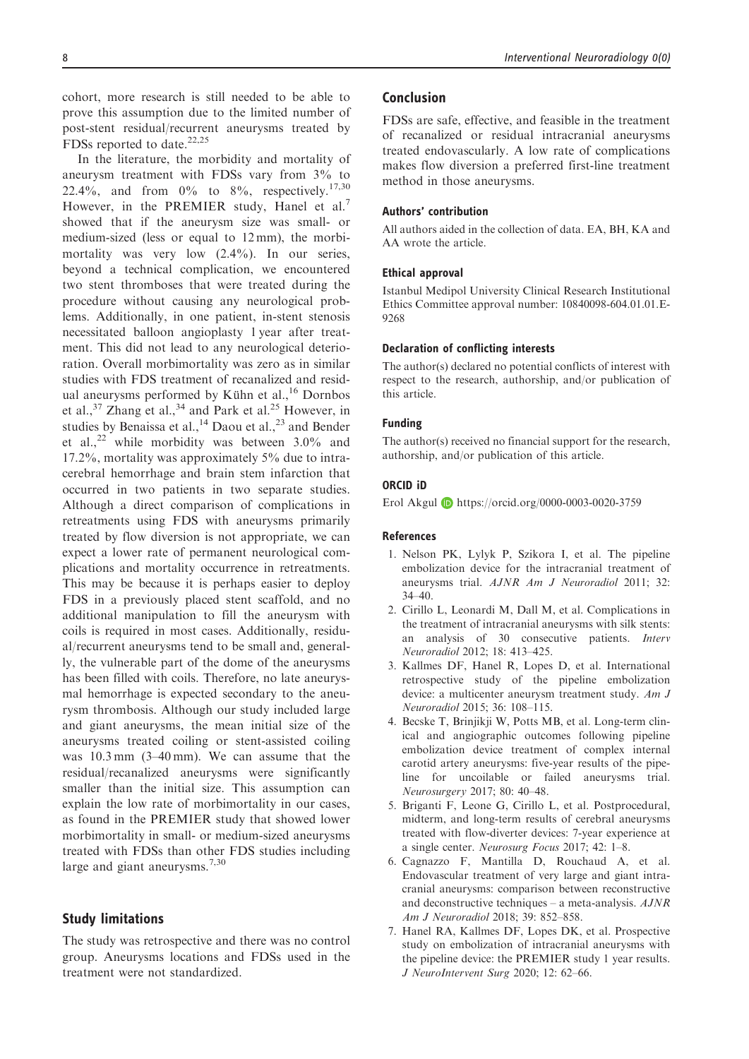cohort, more research is still needed to be able to prove this assumption due to the limited number of post-stent residual/recurrent aneurysms treated by FDSs reported to date.<sup>22,25</sup>

In the literature, the morbidity and mortality of aneurysm treatment with FDSs vary from 3% to 22.4%, and from  $0\%$  to  $8\%$ , respectively.<sup>17,30</sup> However, in the PREMIER study, Hanel et al.<sup>7</sup> showed that if the aneurysm size was small- or medium-sized (less or equal to 12 mm), the morbimortality was very low (2.4%). In our series, beyond a technical complication, we encountered two stent thromboses that were treated during the procedure without causing any neurological problems. Additionally, in one patient, in-stent stenosis necessitated balloon angioplasty 1 year after treatment. This did not lead to any neurological deterioration. Overall morbimortality was zero as in similar studies with FDS treatment of recanalized and residual aneurysms performed by Kühn et al., $^{16}$  Dornbos et al., $^{37}$  Zhang et al., $^{34}$  and Park et al.<sup>25</sup> However, in studies by Benaissa et al.,  $^{14}$  Daou et al.,  $^{23}$  and Bender et al.,  $^{22}$  while morbidity was between 3.0% and 17.2%, mortality was approximately 5% due to intracerebral hemorrhage and brain stem infarction that occurred in two patients in two separate studies. Although a direct comparison of complications in retreatments using FDS with aneurysms primarily treated by flow diversion is not appropriate, we can expect a lower rate of permanent neurological complications and mortality occurrence in retreatments. This may be because it is perhaps easier to deploy FDS in a previously placed stent scaffold, and no additional manipulation to fill the aneurysm with coils is required in most cases. Additionally, residual/recurrent aneurysms tend to be small and, generally, the vulnerable part of the dome of the aneurysms has been filled with coils. Therefore, no late aneurysmal hemorrhage is expected secondary to the aneurysm thrombosis. Although our study included large and giant aneurysms, the mean initial size of the aneurysms treated coiling or stent-assisted coiling was 10.3 mm (3–40 mm). We can assume that the residual/recanalized aneurysms were significantly smaller than the initial size. This assumption can explain the low rate of morbimortality in our cases, as found in the PREMIER study that showed lower morbimortality in small- or medium-sized aneurysms treated with FDSs than other FDS studies including large and giant aneurysms.<sup>7,30</sup>

# Study limitations

The study was retrospective and there was no control group. Aneurysms locations and FDSs used in the treatment were not standardized.

# Conclusion

FDSs are safe, effective, and feasible in the treatment of recanalized or residual intracranial aneurysms treated endovascularly. A low rate of complications makes flow diversion a preferred first-line treatment method in those aneurysms.

#### Authors' contribution

All authors aided in the collection of data. EA, BH, KA and AA wrote the article.

#### Ethical approval

Istanbul Medipol University Clinical Research Institutional Ethics Committee approval number: 10840098-604.01.01.E-9268

#### Declaration of conflicting interests

The author(s) declared no potential conflicts of interest with respect to the research, authorship, and/or publication of this article.

#### Funding

The author(s) received no financial support for the research, authorship, and/or publication of this article.

#### ORCID iD

Erol Akgul <https://orcid.org/0000-0003-0020-3759>

#### References

- 1. Nelson PK, Lylyk P, Szikora I, et al. The pipeline embolization device for the intracranial treatment of aneurysms trial. AJNR Am J Neuroradiol 2011; 32: 34–40.
- 2. Cirillo L, Leonardi M, Dall M, et al. Complications in the treatment of intracranial aneurysms with silk stents: an analysis of 30 consecutive patients. Interv Neuroradiol 2012; 18: 413–425.
- 3. Kallmes DF, Hanel R, Lopes D, et al. International retrospective study of the pipeline embolization device: a multicenter aneurysm treatment study. Am J Neuroradiol 2015; 36: 108–115.
- 4. Becske T, Brinjikji W, Potts MB, et al. Long-term clinical and angiographic outcomes following pipeline embolization device treatment of complex internal carotid artery aneurysms: five-year results of the pipeline for uncoilable or failed aneurysms trial. Neurosurgery 2017; 80: 40–48.
- 5. Briganti F, Leone G, Cirillo L, et al. Postprocedural, midterm, and long-term results of cerebral aneurysms treated with flow-diverter devices: 7-year experience at a single center. Neurosurg Focus 2017; 42: 1–8.
- 6. Cagnazzo F, Mantilla D, Rouchaud A, et al. Endovascular treatment of very large and giant intracranial aneurysms: comparison between reconstructive and deconstructive techniques – a meta-analysis.  $A J N R$ Am J Neuroradiol 2018; 39: 852–858.
- 7. Hanel RA, Kallmes DF, Lopes DK, et al. Prospective study on embolization of intracranial aneurysms with the pipeline device: the PREMIER study 1 year results. J NeuroIntervent Surg 2020; 12: 62–66.